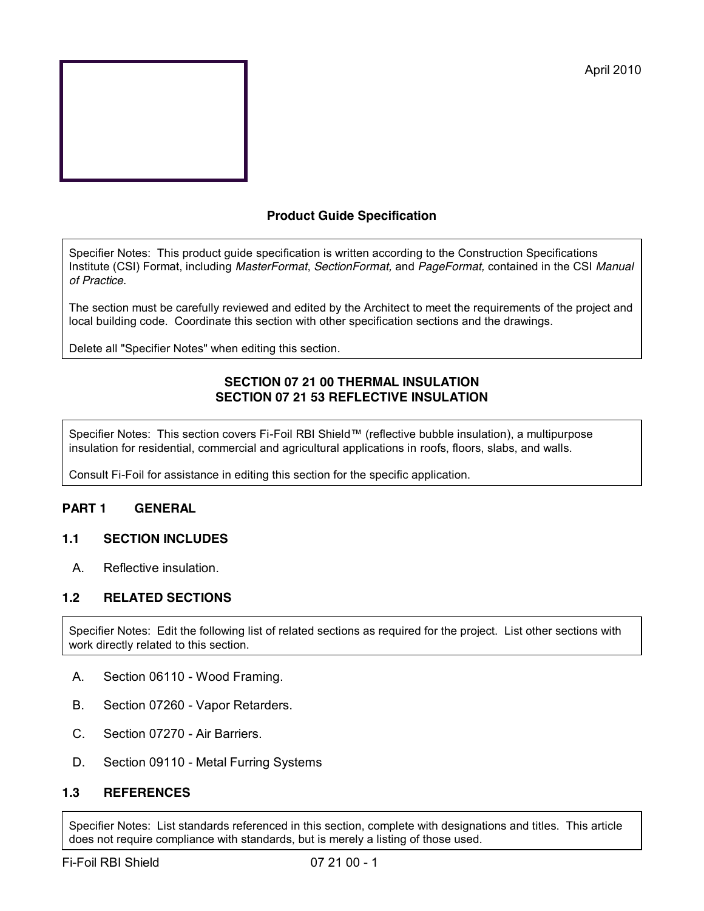

## **Product Guide Specification**

Specifier Notes: This product guide specification is written according to the Construction Specifications Institute (CSI) Format, including *MasterFormat*, *SectionFormat,* and *PageFormat,* contained in the CSI *Manual of Practice.*

The section must be carefully reviewed and edited by the Architect to meet the requirements of the project and local building code. Coordinate this section with other specification sections and the drawings.

Delete all "Specifier Notes" when editing this section.

### **SECTION 07 21 00 THERMAL INSULATION SECTION 07 21 53 REFLECTIVE INSULATION**

Specifier Notes: This section covers Fi-Foil RBI Shield™ (reflective bubble insulation), a multipurpose insulation for residential, commercial and agricultural applications in roofs, floors, slabs, and walls.

Consult Fi-Foil for assistance in editing this section for the specific application.

## **PART 1 GENERAL**

### **1.1 SECTION INCLUDES**

A. Reflective insulation.

### **1.2 RELATED SECTIONS**

Specifier Notes: Edit the following list of related sections as required for the project. List other sections with work directly related to this section.

- A. Section 06110 Wood Framing.
- B. Section 07260 Vapor Retarders.
- C. Section 07270 Air Barriers.
- D. Section 09110 Metal Furring Systems

### **1.3 REFERENCES**

Specifier Notes: List standards referenced in this section, complete with designations and titles. This article does not require compliance with standards, but is merely a listing of those used.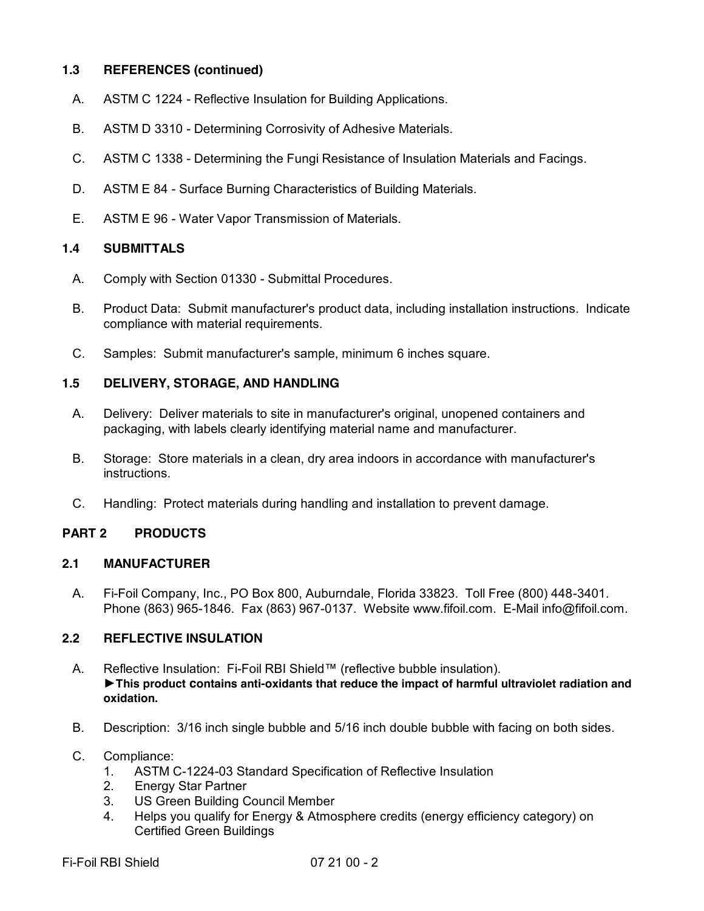### **1.3 REFERENCES (continued)**

- A. ASTM C 1224 Reflective Insulation for Building Applications.
- B. ASTM D 3310 Determining Corrosivity of Adhesive Materials.
- C. ASTM C 1338 Determining the Fungi Resistance of Insulation Materials and Facings.
- D. ASTM E 84 Surface Burning Characteristics of Building Materials.
- E. ASTM E 96 Water Vapor Transmission of Materials.

### **1.4 SUBMITTALS**

- A. Comply with Section 01330 Submittal Procedures.
- B. Product Data: Submit manufacturer's product data, including installation instructions. Indicate compliance with material requirements.
- C. Samples: Submit manufacturer's sample, minimum 6 inches square.

### **1.5 DELIVERY, STORAGE, AND HANDLING**

- A. Delivery: Deliver materials to site in manufacturer's original, unopened containers and packaging, with labels clearly identifying material name and manufacturer.
- B. Storage: Store materials in a clean, dry area indoors in accordance with manufacturer's instructions.
- C. Handling: Protect materials during handling and installation to prevent damage.

### **PART 2 PRODUCTS**

#### **2.1 MANUFACTURER**

A. Fi-Foil Company, Inc., PO Box 800, Auburndale, Florida 33823. Toll Free (800) 448-3401. Phone (863) 965-1846. Fax (863) 967-0137. Website www.fifoil.com. E-Mail info@fifoil.com.

### **2.2 REFLECTIVE INSULATION**

- A. Reflective Insulation: Fi-Foil RBI Shield™ (reflective bubble insulation). ►**This product contains anti-oxidants that reduce the impact of harmful ultraviolet radiation and oxidation.**
- B. Description: 3/16 inch single bubble and 5/16 inch double bubble with facing on both sides.
- C. Compliance:
	- 1. ASTM C-1224-03 Standard Specification of Reflective Insulation
	- 2. Energy Star Partner
	- 3. US Green Building Council Member
	- 4. Helps you qualify for Energy & Atmosphere credits (energy efficiency category) on Certified Green Buildings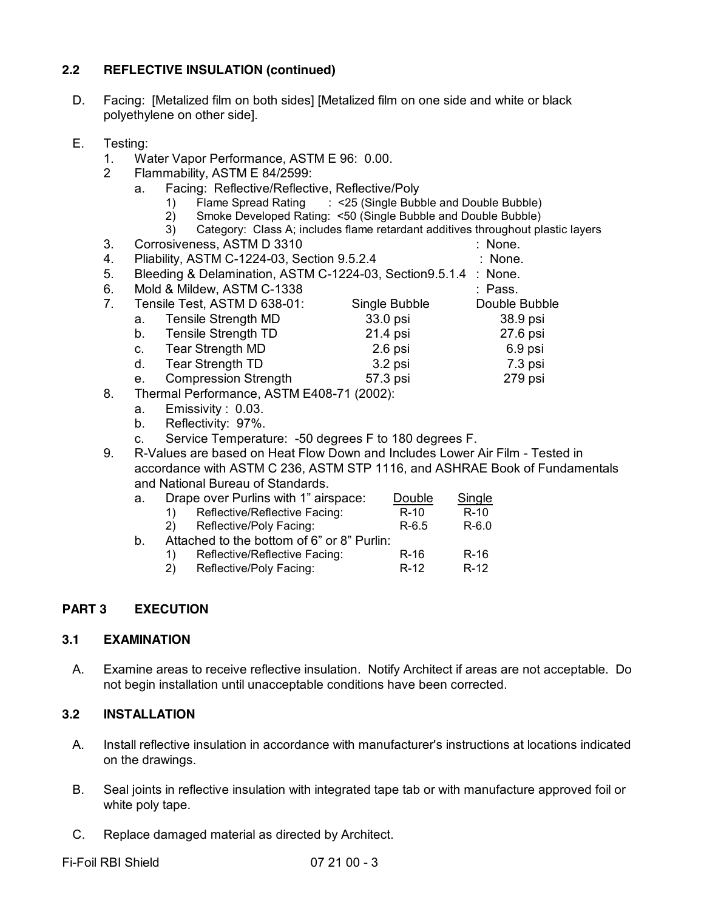## **2.2 REFLECTIVE INSULATION (continued)**

- D. Facing: [Metalized film on both sides] [Metalized film on one side and white or black polyethylene on other side].
- E. Testing:
	- 1. Water Vapor Performance, ASTM E 96: 0.00.
	- 2 Flammability, ASTM E 84/2599:
		- a. Facing: Reflective/Reflective, Reflective/Poly
			- 1) Flame Spread Rating : <25 (Single Bubble and Double Bubble)
			- 2) Smoke Developed Rating: <50 (Single Bubble and Double Bubble)
			- 3) Category: Class A; includes flame retardant additives throughout plastic layers
	- 3. Corrosiveness, ASTM D 3310 : None.
	- 4. Pliability, ASTM C-1224-03, Section 9.5.2.4 : None.
	- 5. Bleeding & Delamination, ASTM C-1224-03, Section9.5.1.4 : None.
	- 6. Mold & Mildew, ASTM C-1338 : Pass.
	- 7. Tensile Test, ASTM D 638-01: Single Bubble Double Bubble
		- a. Tensile Strength MD 33.0 psi 38.9 psi b. Tensile Strength TD 21.4 psi 27.6 psi c. Tear Strength MD 2.6 psi 6.9 psi
		- d. Tear Strength TD 3.2 psi 7.3 psi e. Compression Strength 57.3 psi 279 psi
	-
	- 8. Thermal Performance, ASTM E408-71 (2002):
		- a. Emissivity : 0.03.
		- b. Reflectivity: 97%.
		- c. Service Temperature: -50 degrees F to 180 degrees F.
	- 9. R-Values are based on Heat Flow Down and Includes Lower Air Film Tested in accordance with ASTM C 236, ASTM STP 1116, and ASHRAE Book of Fundamentals and National Bureau of Standards.

| а. | Drape over Purlins with 1" airspace:       |                               | Double  | Single  |
|----|--------------------------------------------|-------------------------------|---------|---------|
|    | 1)                                         | Reflective/Reflective Facing: | $R-10$  | $R-10$  |
|    | <sup>2)</sup>                              | Reflective/Poly Facing:       | $R-6.5$ | $R-6.0$ |
| b. | Attached to the bottom of 6" or 8" Purlin: |                               |         |         |
|    | 1)                                         | Reflective/Reflective Facing: | $R-16$  | $R-16$  |
|    | 2)                                         | Reflective/Poly Facing:       | $R-12$  | $R-12$  |
|    |                                            |                               |         |         |

### **PART 3 EXECUTION**

#### **3.1 EXAMINATION**

A. Examine areas to receive reflective insulation. Notify Architect if areas are not acceptable. Do not begin installation until unacceptable conditions have been corrected.

### **3.2 INSTALLATION**

- A. Install reflective insulation in accordance with manufacturer's instructions at locations indicated on the drawings.
- B. Seal joints in reflective insulation with integrated tape tab or with manufacture approved foil or white poly tape.
- C. Replace damaged material as directed by Architect.